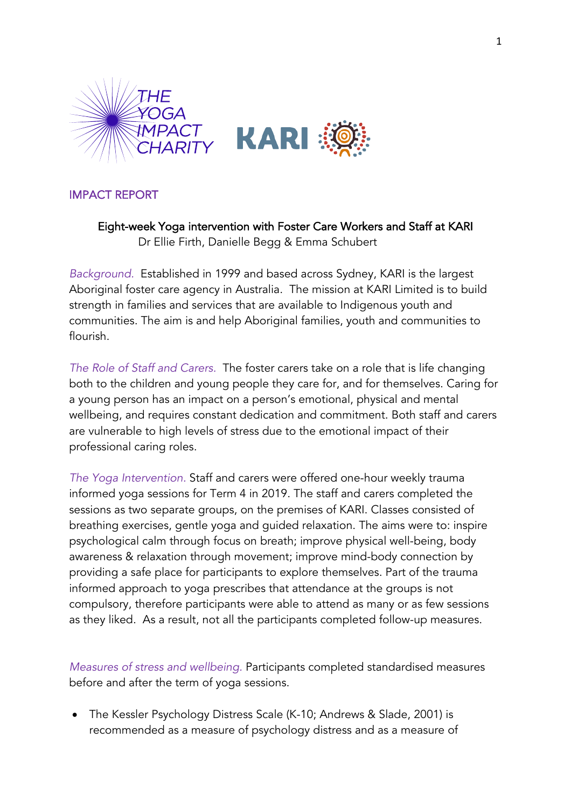

## IMPACT REPORT

Eight-week Yoga intervention with Foster Care Workers and Staff at KARI Dr Ellie Firth, Danielle Begg & Emma Schubert

*Background.* Established in 1999 and based across Sydney, KARI is the largest Aboriginal foster care agency in Australia. The mission at KARI Limited is to build strength in families and services that are available to Indigenous youth and communities. The aim is and help Aboriginal families, youth and communities to flourish.

*The Role of Staff and Carers.* The foster carers take on a role that is life changing both to the children and young people they care for, and for themselves. Caring for a young person has an impact on a person's emotional, physical and mental wellbeing, and requires constant dedication and commitment. Both staff and carers are vulnerable to high levels of stress due to the emotional impact of their professional caring roles.

*The Yoga Intervention.* Staff and carers were offered one-hour weekly trauma informed yoga sessions for Term 4 in 2019. The staff and carers completed the sessions as two separate groups, on the premises of KARI. Classes consisted of breathing exercises, gentle yoga and guided relaxation. The aims were to: inspire psychological calm through focus on breath; improve physical well-being, body awareness & relaxation through movement; improve mind-body connection by providing a safe place for participants to explore themselves. Part of the trauma informed approach to yoga prescribes that attendance at the groups is not compulsory, therefore participants were able to attend as many or as few sessions as they liked. As a result, not all the participants completed follow-up measures.

*Measures of stress and wellbeing.* Participants completed standardised measures before and after the term of yoga sessions.

• The Kessler Psychology Distress Scale (K-10; Andrews & Slade, 2001) is recommended as a measure of psychology distress and as a measure of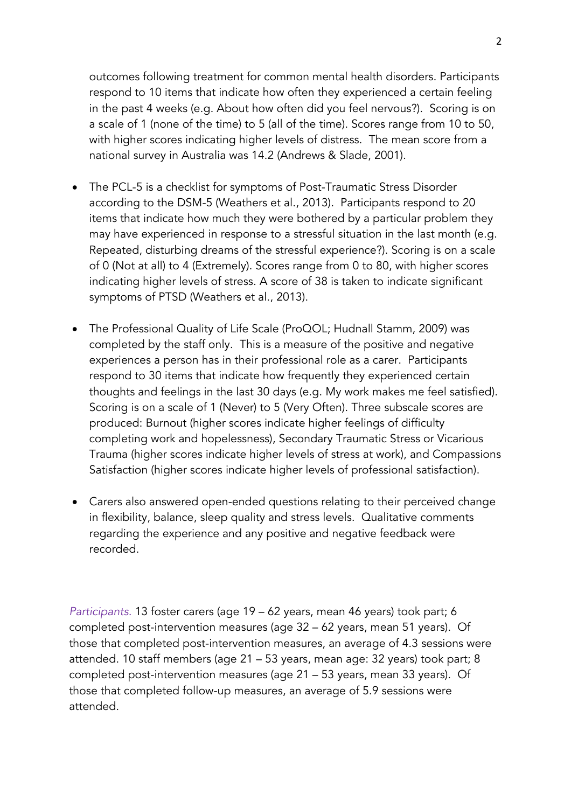outcomes following treatment for common mental health disorders. Participants respond to 10 items that indicate how often they experienced a certain feeling in the past 4 weeks (e.g. About how often did you feel nervous?). Scoring is on a scale of 1 (none of the time) to 5 (all of the time). Scores range from 10 to 50, with higher scores indicating higher levels of distress. The mean score from a national survey in Australia was 14.2 (Andrews & Slade, 2001).

- The PCL-5 is a checklist for symptoms of Post-Traumatic Stress Disorder according to the DSM-5 (Weathers et al., 2013). Participants respond to 20 items that indicate how much they were bothered by a particular problem they may have experienced in response to a stressful situation in the last month (e.g. Repeated, disturbing dreams of the stressful experience?). Scoring is on a scale of 0 (Not at all) to 4 (Extremely). Scores range from 0 to 80, with higher scores indicating higher levels of stress. A score of 38 is taken to indicate significant symptoms of PTSD (Weathers et al., 2013).
- The Professional Quality of Life Scale (ProQOL; Hudnall Stamm, 2009) was completed by the staff only. This is a measure of the positive and negative experiences a person has in their professional role as a carer. Participants respond to 30 items that indicate how frequently they experienced certain thoughts and feelings in the last 30 days (e.g. My work makes me feel satisfied). Scoring is on a scale of 1 (Never) to 5 (Very Often). Three subscale scores are produced: Burnout (higher scores indicate higher feelings of difficulty completing work and hopelessness), Secondary Traumatic Stress or Vicarious Trauma (higher scores indicate higher levels of stress at work), and Compassions Satisfaction (higher scores indicate higher levels of professional satisfaction).
- Carers also answered open-ended questions relating to their perceived change in flexibility, balance, sleep quality and stress levels. Qualitative comments regarding the experience and any positive and negative feedback were recorded.

*Participants.* 13 foster carers (age 19 – 62 years, mean 46 years) took part; 6 completed post-intervention measures (age 32 – 62 years, mean 51 years). Of those that completed post-intervention measures, an average of 4.3 sessions were attended. 10 staff members (age 21 – 53 years, mean age: 32 years) took part; 8 completed post-intervention measures (age 21 – 53 years, mean 33 years). Of those that completed follow-up measures, an average of 5.9 sessions were attended.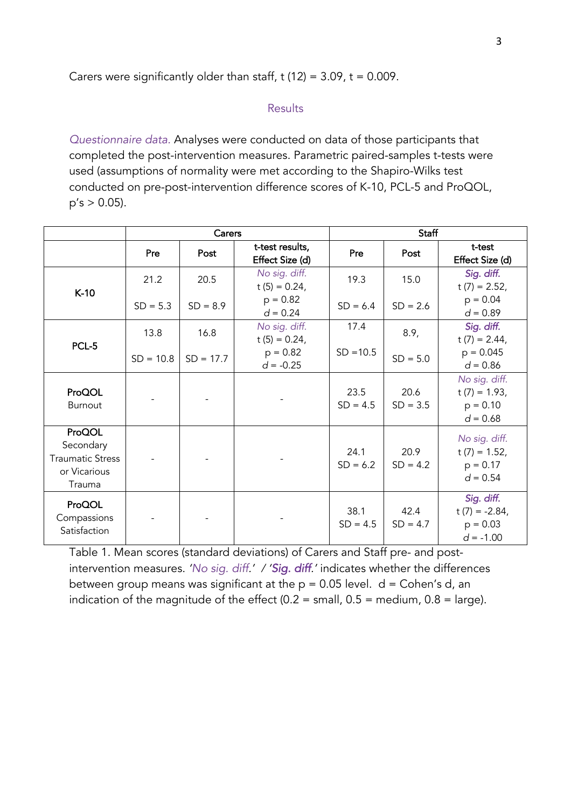Carers were significantly older than staff,  $t$  (12) = 3.09,  $t = 0.009$ .

## **Results**

*Questionnaire data.* Analyses were conducted on data of those participants that completed the post-intervention measures. Parametric paired-samples t-tests were used (assumptions of normality were met according to the Shapiro-Wilks test conducted on pre-post-intervention difference scores of K-10, PCL-5 and ProQOL,  $p's > 0.05$ ).

|                                                                          | Carers      |             |                                    | Staff              |                    |                                                              |
|--------------------------------------------------------------------------|-------------|-------------|------------------------------------|--------------------|--------------------|--------------------------------------------------------------|
|                                                                          | Pre         | Post        | t-test results,<br>Effect Size (d) | Pre                | Post               | t-test<br>Effect Size (d)                                    |
| $K-10$                                                                   | 21.2        | 20.5        | No sig. diff.<br>t $(5) = 0.24$ ,  | 19.3               | 15.0               | Sig. diff.<br>t $(7) = 2.52$ ,                               |
|                                                                          | $SD = 5.3$  | $SD = 8.9$  | $p = 0.82$<br>$d = 0.24$           | $SD = 6.4$         | $SD = 2.6$         | $p = 0.04$<br>$d = 0.89$                                     |
| PCL-5                                                                    | 13.8        | 16.8        | No sig. diff.<br>$t(5) = 0.24$ ,   | 17.4               | 8.9,               | Sig. diff.<br>t $(7) = 2.44$ ,                               |
|                                                                          | $SD = 10.8$ | $SD = 17.7$ | $p = 0.82$<br>$d = -0.25$          | $SD = 10.5$        | $SD = 5.0$         | $p = 0.045$<br>$d = 0.86$                                    |
| ProQOL<br><b>Burnout</b>                                                 |             |             |                                    | 23.5<br>$SD = 4.5$ | 20.6<br>$SD = 3.5$ | No sig. diff.<br>$t(7) = 1.93$ ,<br>$p = 0.10$<br>$d = 0.68$ |
| ProQOL<br>Secondary<br><b>Traumatic Stress</b><br>or Vicarious<br>Trauma |             |             |                                    | 24.1<br>$SD = 6.2$ | 20.9<br>$SD = 4.2$ | No sig. diff.<br>$t(7) = 1.52$ ,<br>$p = 0.17$<br>$d = 0.54$ |
| ProQOL<br>Compassions<br>Satisfaction                                    |             |             |                                    | 38.1<br>$SD = 4.5$ | 42.4<br>$SD = 4.7$ | Sig. diff.<br>t $(7) = -2.84$ ,<br>$p = 0.03$<br>$d = -1.00$ |

Table 1. Mean scores (standard deviations) of Carers and Staff pre- and postintervention measures. *'No sig. diff.' / 'Sig. diff.'* indicates whether the differences between group means was significant at the  $p = 0.05$  level.  $d = \text{Cohen's } d$ , an indication of the magnitude of the effect  $(0.2 = \text{small}, 0.5 = \text{medium}, 0.8 = \text{large})$ .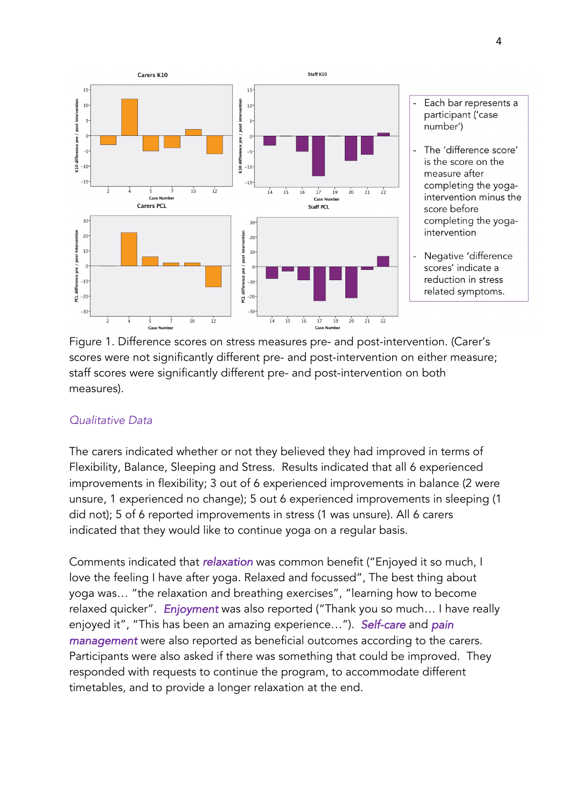

- Each bar represents a participant ('case number')
- The 'difference score' is the score on the measure after completing the yogaintervention minus the score before completing the yogaintervention
- Negative 'difference scores' indicate a reduction in stress related symptoms.

Figure 1. Difference scores on stress measures pre- and post-intervention. (Carer's scores were not significantly different pre- and post-intervention on either measure; staff scores were significantly different pre- and post-intervention on both measures).

## *Qualitative Data*

The carers indicated whether or not they believed they had improved in terms of Flexibility, Balance, Sleeping and Stress. Results indicated that all 6 experienced improvements in flexibility; 3 out of 6 experienced improvements in balance (2 were unsure, 1 experienced no change); 5 out 6 experienced improvements in sleeping (1 did not); 5 of 6 reported improvements in stress (1 was unsure). All 6 carers indicated that they would like to continue yoga on a regular basis.

Comments indicated that *relaxation* was common benefit ("Enjoyed it so much, I love the feeling I have after yoga. Relaxed and focussed", The best thing about yoga was… "the relaxation and breathing exercises", "learning how to become relaxed quicker". *Enjoyment* was also reported ("Thank you so much… I have really enjoyed it", "This has been an amazing experience…"). *Self-care* and *pain management* were also reported as beneficial outcomes according to the carers. Participants were also asked if there was something that could be improved. They responded with requests to continue the program, to accommodate different timetables, and to provide a longer relaxation at the end.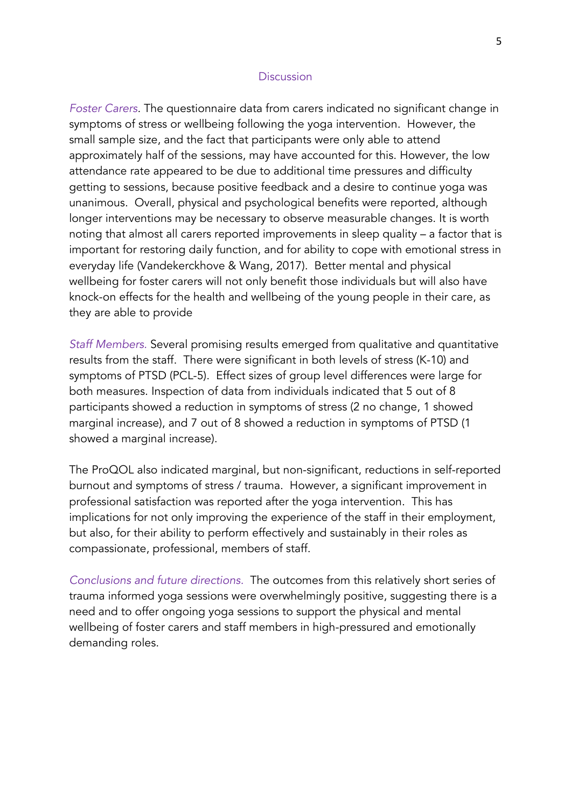## **Discussion**

*Foster Carers.* The questionnaire data from carers indicated no significant change in symptoms of stress or wellbeing following the yoga intervention. However, the small sample size, and the fact that participants were only able to attend approximately half of the sessions, may have accounted for this. However, the low attendance rate appeared to be due to additional time pressures and difficulty getting to sessions, because positive feedback and a desire to continue yoga was unanimous. Overall, physical and psychological benefits were reported, although longer interventions may be necessary to observe measurable changes. It is worth noting that almost all carers reported improvements in sleep quality – a factor that is important for restoring daily function, and for ability to cope with emotional stress in everyday life (Vandekerckhove & Wang, 2017). Better mental and physical wellbeing for foster carers will not only benefit those individuals but will also have knock-on effects for the health and wellbeing of the young people in their care, as they are able to provide

*Staff Members.* Several promising results emerged from qualitative and quantitative results from the staff. There were significant in both levels of stress (K-10) and symptoms of PTSD (PCL-5). Effect sizes of group level differences were large for both measures. Inspection of data from individuals indicated that 5 out of 8 participants showed a reduction in symptoms of stress (2 no change, 1 showed marginal increase), and 7 out of 8 showed a reduction in symptoms of PTSD (1 showed a marginal increase).

The ProQOL also indicated marginal, but non-significant, reductions in self-reported burnout and symptoms of stress / trauma. However, a significant improvement in professional satisfaction was reported after the yoga intervention. This has implications for not only improving the experience of the staff in their employment, but also, for their ability to perform effectively and sustainably in their roles as compassionate, professional, members of staff.

*Conclusions and future directions.* The outcomes from this relatively short series of trauma informed yoga sessions were overwhelmingly positive, suggesting there is a need and to offer ongoing yoga sessions to support the physical and mental wellbeing of foster carers and staff members in high-pressured and emotionally demanding roles.